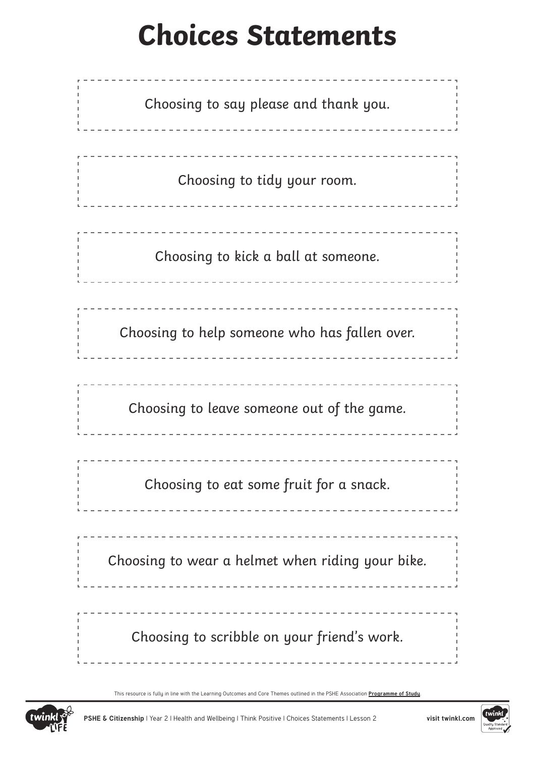## **Choices Statements**

| Choosing to say please and thank you.            |
|--------------------------------------------------|
| Choosing to tidy your room.                      |
| Choosing to kick a ball at someone.              |
| Choosing to help someone who has fallen over.    |
| Choosing to leave someone out of the game.       |
| Choosing to eat some fruit for a snack.          |
| Choosing to wear a helmet when riding your bike. |
| Choosing to scribble on your friend's work.      |

This resource is fully in line with the Learning Outcomes and Core Themes outlined in the PSHE Association **[Programme of Study](https://www.pshe-association.org.uk/curriculum-and-resources/resources/programme-study-pshe-education-key-stages-1%E2%80%935)**.